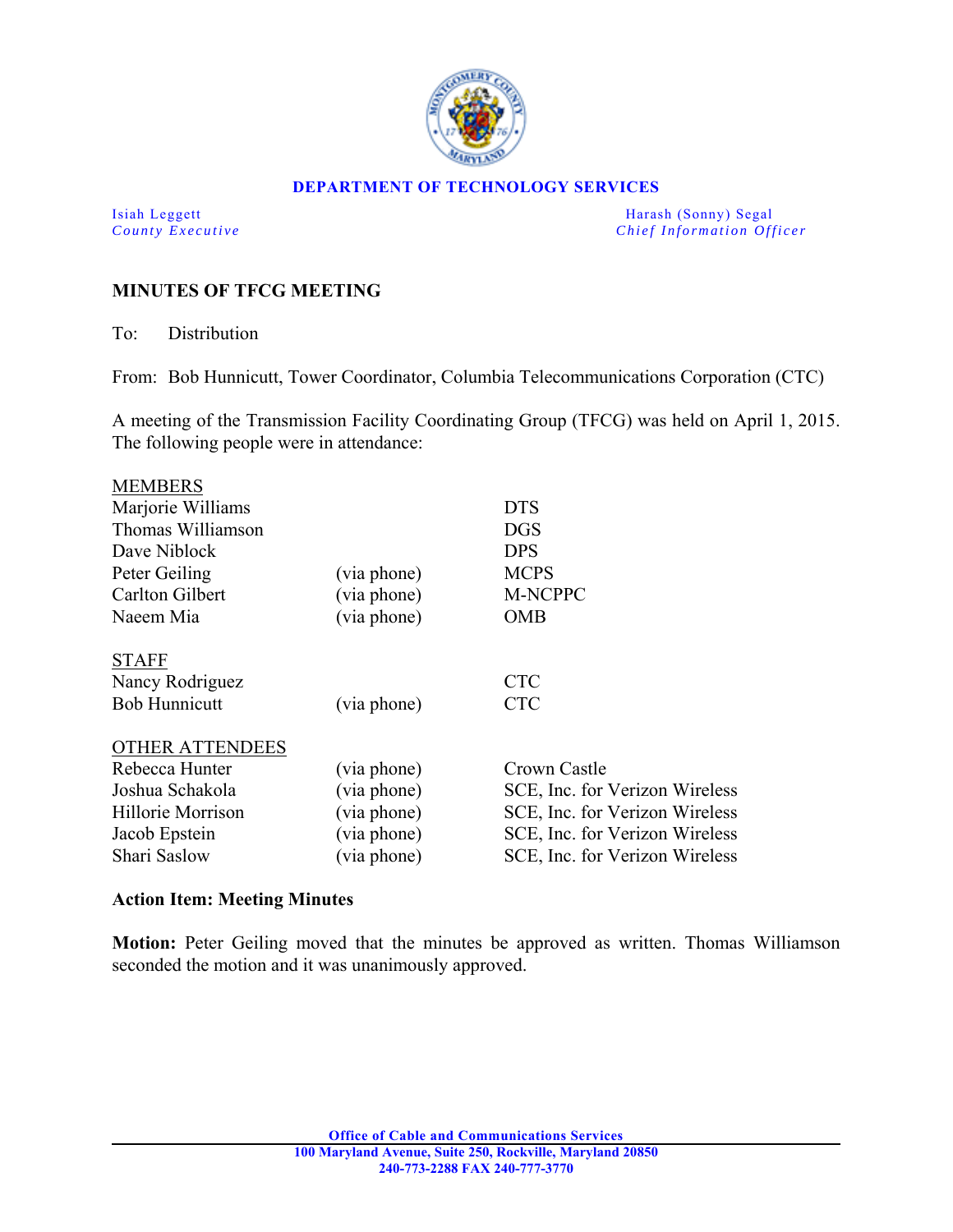

#### **DEPARTMENT OF TECHNOLOGY SERVICES**

Isiah Leggett Harash (Sonny) Segal *County Executive* **County**  $\overline{C}$  *Chief Information Officer* 

# **MINUTES OF TFCG MEETING**

To: Distribution

From: Bob Hunnicutt, Tower Coordinator, Columbia Telecommunications Corporation (CTC)

A meeting of the Transmission Facility Coordinating Group (TFCG) was held on April 1, 2015. The following people were in attendance:

| <b>MEMBERS</b>         |             |                                |
|------------------------|-------------|--------------------------------|
| Marjorie Williams      |             | <b>DTS</b>                     |
| Thomas Williamson      |             | <b>DGS</b>                     |
| Dave Niblock           |             | <b>DPS</b>                     |
| Peter Geiling          | (via phone) | <b>MCPS</b>                    |
| Carlton Gilbert        | (via phone) | M-NCPPC                        |
| Naeem Mia              | (via phone) | <b>OMB</b>                     |
|                        |             |                                |
| <b>STAFF</b>           |             |                                |
| Nancy Rodriguez        |             | <b>CTC</b>                     |
| <b>Bob Hunnicutt</b>   | (via phone) | <b>CTC</b>                     |
|                        |             |                                |
| <b>OTHER ATTENDEES</b> |             |                                |
| Rebecca Hunter         | (via phone) | Crown Castle                   |
| Joshua Schakola        | (via phone) | SCE, Inc. for Verizon Wireless |
| Hillorie Morrison      | (via phone) | SCE, Inc. for Verizon Wireless |
| Jacob Epstein          | (via phone) | SCE, Inc. for Verizon Wireless |
| Shari Saslow           | (via phone) | SCE, Inc. for Verizon Wireless |
|                        |             |                                |

### **Action Item: Meeting Minutes**

**Motion:** Peter Geiling moved that the minutes be approved as written. Thomas Williamson seconded the motion and it was unanimously approved.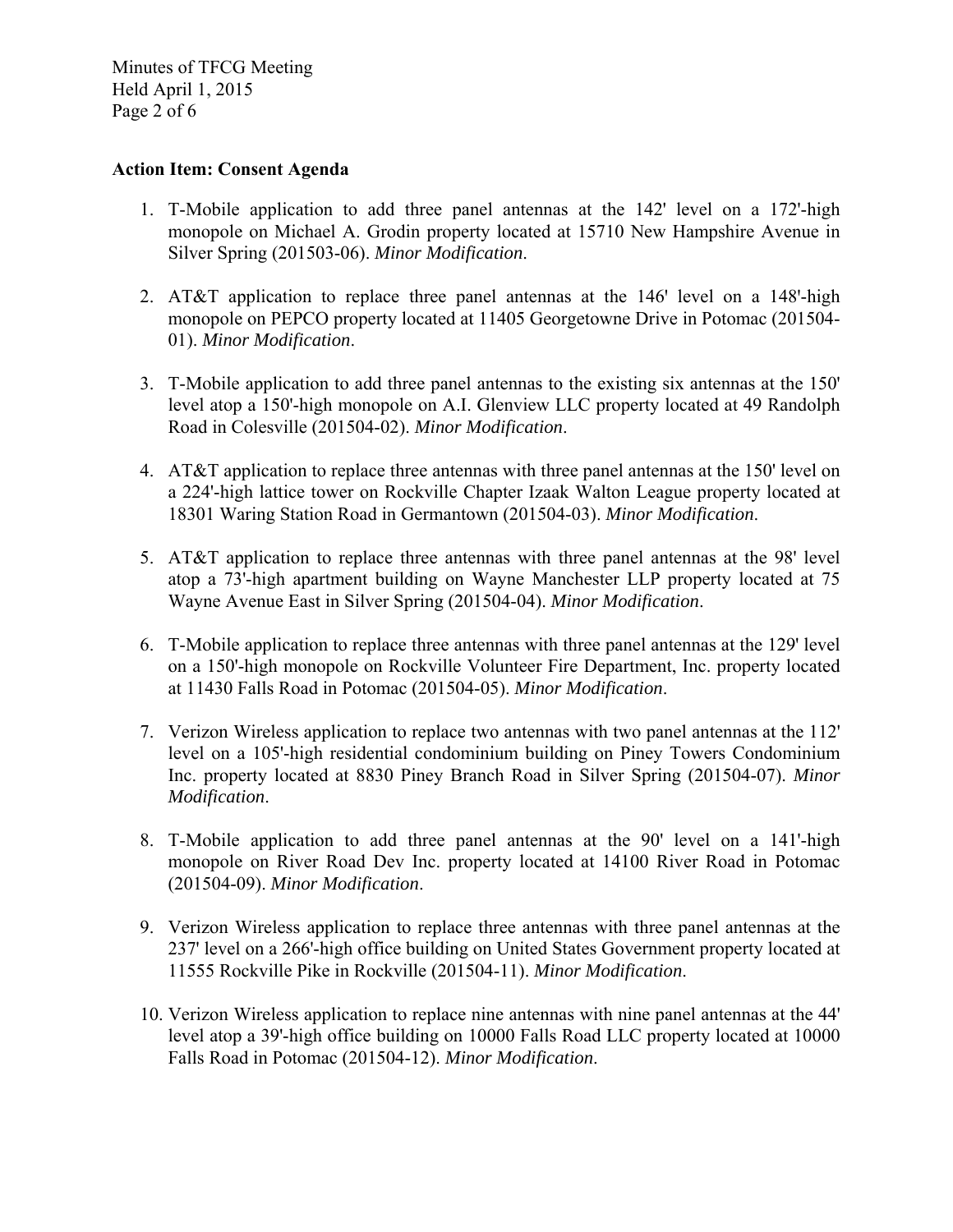Minutes of TFCG Meeting Held April 1, 2015 Page 2 of 6

#### **Action Item: Consent Agenda**

- 1. T-Mobile application to add three panel antennas at the 142' level on a 172'-high monopole on Michael A. Grodin property located at 15710 New Hampshire Avenue in Silver Spring (201503-06). *Minor Modification*.
- 2. AT&T application to replace three panel antennas at the  $146'$  level on a  $148'$ -high monopole on PEPCO property located at 11405 Georgetowne Drive in Potomac (201504- 01). *Minor Modification*.
- 3. T-Mobile application to add three panel antennas to the existing six antennas at the 150' level atop a 150'-high monopole on A.I. Glenview LLC property located at 49 Randolph Road in Colesville (201504-02). *Minor Modification*.
- 4. AT&T application to replace three antennas with three panel antennas at the 150' level on a 224'-high lattice tower on Rockville Chapter Izaak Walton League property located at 18301 Waring Station Road in Germantown (201504-03). *Minor Modification*.
- 5. AT&T application to replace three antennas with three panel antennas at the 98' level atop a 73'-high apartment building on Wayne Manchester LLP property located at 75 Wayne Avenue East in Silver Spring (201504-04). *Minor Modification*.
- 6. T-Mobile application to replace three antennas with three panel antennas at the 129' level on a 150'-high monopole on Rockville Volunteer Fire Department, Inc. property located at 11430 Falls Road in Potomac (201504-05). *Minor Modification*.
- 7. Verizon Wireless application to replace two antennas with two panel antennas at the 112' level on a 105'-high residential condominium building on Piney Towers Condominium Inc. property located at 8830 Piney Branch Road in Silver Spring (201504-07). *Minor Modification*.
- 8. T-Mobile application to add three panel antennas at the 90' level on a 141'-high monopole on River Road Dev Inc. property located at 14100 River Road in Potomac (201504-09). *Minor Modification*.
- 9. Verizon Wireless application to replace three antennas with three panel antennas at the 237' level on a 266'-high office building on United States Government property located at 11555 Rockville Pike in Rockville (201504-11). *Minor Modification*.
- 10. Verizon Wireless application to replace nine antennas with nine panel antennas at the 44' level atop a 39'-high office building on 10000 Falls Road LLC property located at 10000 Falls Road in Potomac (201504-12). *Minor Modification*.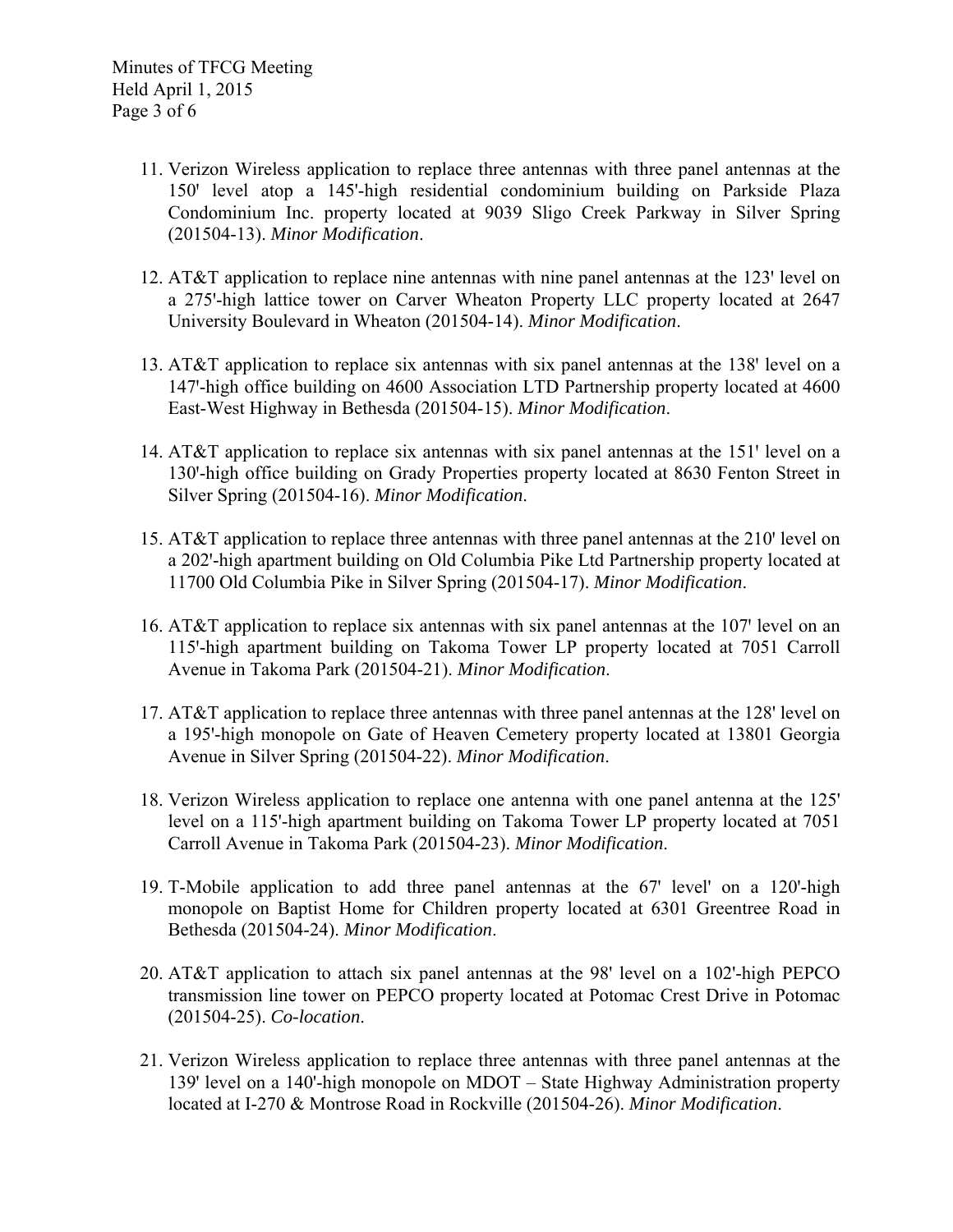- 11. Verizon Wireless application to replace three antennas with three panel antennas at the 150ꞌ level atop a 145'-high residential condominium building on Parkside Plaza Condominium Inc. property located at 9039 Sligo Creek Parkway in Silver Spring (201504-13). *Minor Modification*.
- 12. AT&T application to replace nine antennas with nine panel antennas at the  $123'$  level on a 275'-high lattice tower on Carver Wheaton Property LLC property located at 2647 University Boulevard in Wheaton (201504-14). *Minor Modification*.
- 13. AT&T application to replace six antennas with six panel antennas at the 138' level on a 147'-high office building on 4600 Association LTD Partnership property located at 4600 East-West Highway in Bethesda (201504-15). *Minor Modification*.
- 14. AT&T application to replace six antennas with six panel antennas at the 151 $^{\prime}$  level on a 130'-high office building on Grady Properties property located at 8630 Fenton Street in Silver Spring (201504-16). *Minor Modification*.
- 15. AT&T application to replace three antennas with three panel antennas at the 210' level on a 202'-high apartment building on Old Columbia Pike Ltd Partnership property located at 11700 Old Columbia Pike in Silver Spring (201504-17). *Minor Modification*.
- 16. AT&T application to replace six antennas with six panel antennas at the  $107'$  level on an 115'-high apartment building on Takoma Tower LP property located at 7051 Carroll Avenue in Takoma Park (201504-21). *Minor Modification*.
- 17. AT&T application to replace three antennas with three panel antennas at the 128' level on a 195'-high monopole on Gate of Heaven Cemetery property located at 13801 Georgia Avenue in Silver Spring (201504-22). *Minor Modification*.
- 18. Verizon Wireless application to replace one antenna with one panel antenna at the 125' level on a 115'-high apartment building on Takoma Tower LP property located at 7051 Carroll Avenue in Takoma Park (201504-23). *Minor Modification*.
- 19. T-Mobile application to add three panel antennas at the 67' level' on a 120'-high monopole on Baptist Home for Children property located at 6301 Greentree Road in Bethesda (201504-24). *Minor Modification*.
- 20. AT&T application to attach six panel antennas at the 98' level on a 102'-high PEPCO transmission line tower on PEPCO property located at Potomac Crest Drive in Potomac (201504-25). *Co-location*.
- 21. Verizon Wireless application to replace three antennas with three panel antennas at the 139' level on a 140'-high monopole on MDOT – State Highway Administration property located at I-270 & Montrose Road in Rockville (201504-26). *Minor Modification*.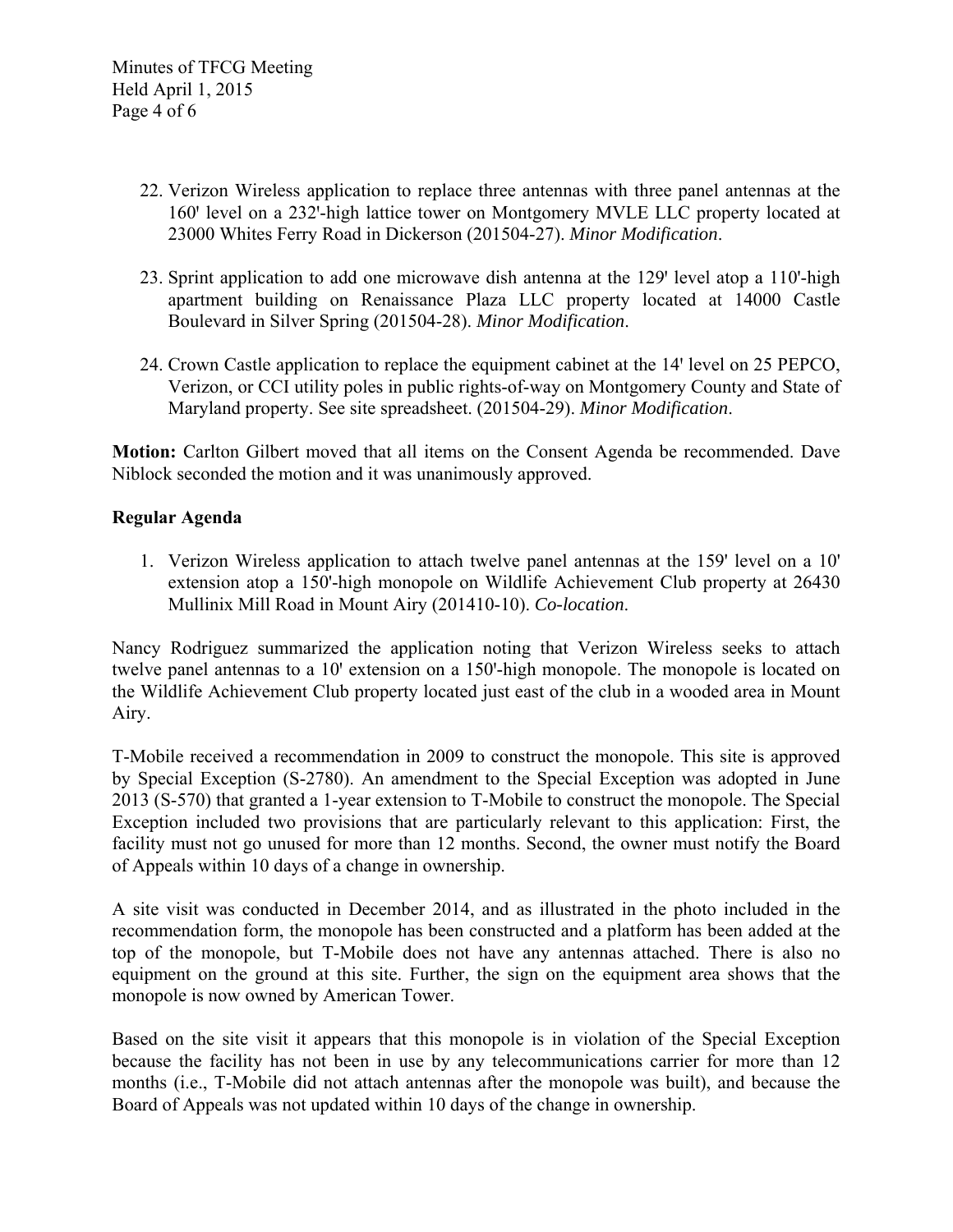- 22. Verizon Wireless application to replace three antennas with three panel antennas at the 160' level on a 232'-high lattice tower on Montgomery MVLE LLC property located at 23000 Whites Ferry Road in Dickerson (201504-27). *Minor Modification*.
- 23. Sprint application to add one microwave dish antenna at the 129' level atop a 110'-high apartment building on Renaissance Plaza LLC property located at 14000 Castle Boulevard in Silver Spring (201504-28). *Minor Modification*.
- 24. Crown Castle application to replace the equipment cabinet at the 14' level on 25 PEPCO, Verizon, or CCI utility poles in public rights-of-way on Montgomery County and State of Maryland property. See site spreadsheet. (201504-29). *Minor Modification*.

**Motion:** Carlton Gilbert moved that all items on the Consent Agenda be recommended. Dave Niblock seconded the motion and it was unanimously approved.

## **Regular Agenda**

1. Verizon Wireless application to attach twelve panel antennas at the 159' level on a 10' extension atop a 150'-high monopole on Wildlife Achievement Club property at 26430 Mullinix Mill Road in Mount Airy (201410-10). *Co-location*.

Nancy Rodriguez summarized the application noting that Verizon Wireless seeks to attach twelve panel antennas to a 10' extension on a 150'-high monopole. The monopole is located on the Wildlife Achievement Club property located just east of the club in a wooded area in Mount Airy.

T-Mobile received a recommendation in 2009 to construct the monopole. This site is approved by Special Exception (S-2780). An amendment to the Special Exception was adopted in June 2013 (S-570) that granted a 1-year extension to T-Mobile to construct the monopole. The Special Exception included two provisions that are particularly relevant to this application: First, the facility must not go unused for more than 12 months. Second, the owner must notify the Board of Appeals within 10 days of a change in ownership.

A site visit was conducted in December 2014, and as illustrated in the photo included in the recommendation form, the monopole has been constructed and a platform has been added at the top of the monopole, but T-Mobile does not have any antennas attached. There is also no equipment on the ground at this site. Further, the sign on the equipment area shows that the monopole is now owned by American Tower.

Based on the site visit it appears that this monopole is in violation of the Special Exception because the facility has not been in use by any telecommunications carrier for more than 12 months (i.e., T-Mobile did not attach antennas after the monopole was built), and because the Board of Appeals was not updated within 10 days of the change in ownership.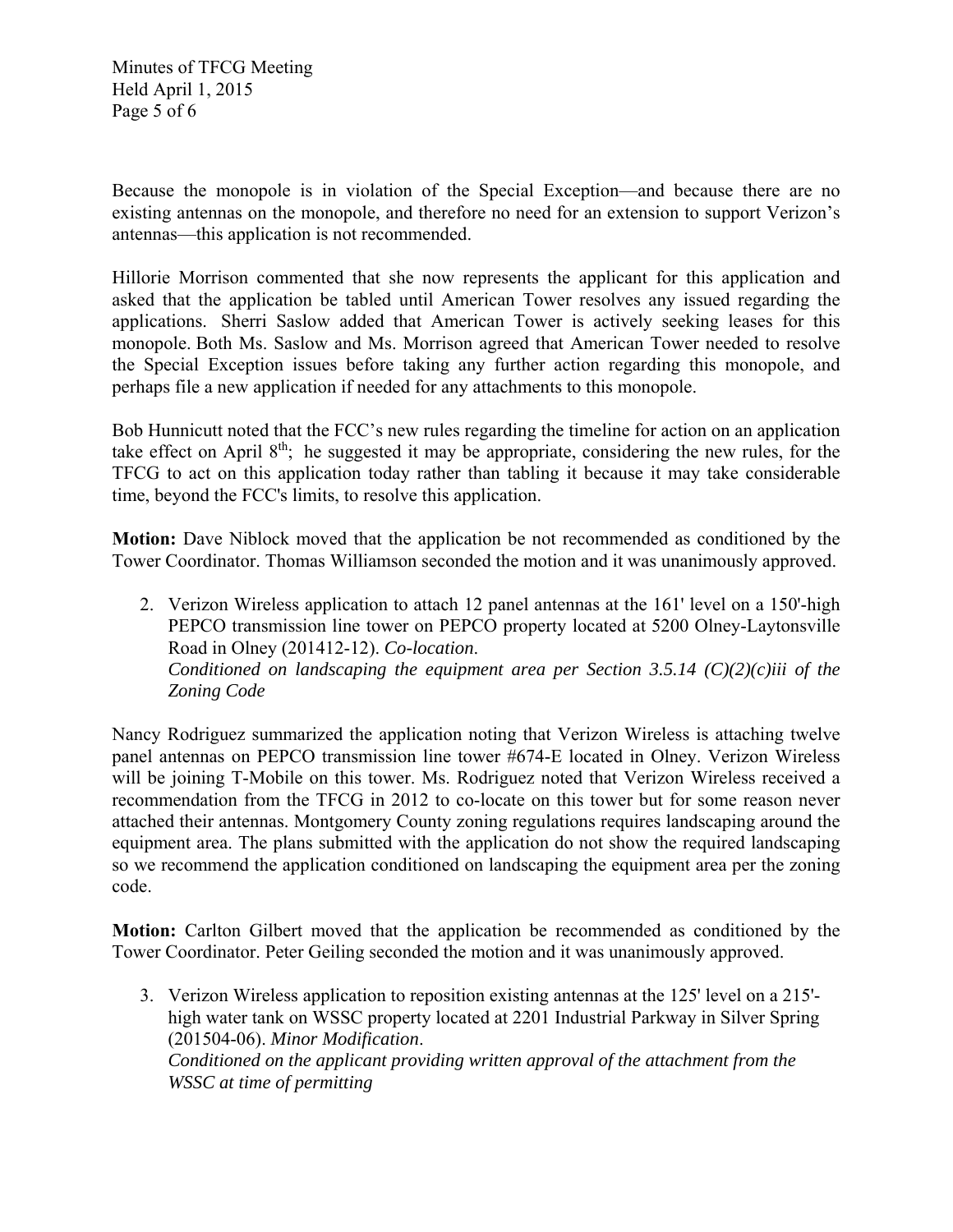Minutes of TFCG Meeting Held April 1, 2015 Page 5 of 6

Because the monopole is in violation of the Special Exception—and because there are no existing antennas on the monopole, and therefore no need for an extension to support Verizon's antennas—this application is not recommended.

Hillorie Morrison commented that she now represents the applicant for this application and asked that the application be tabled until American Tower resolves any issued regarding the applications. Sherri Saslow added that American Tower is actively seeking leases for this monopole. Both Ms. Saslow and Ms. Morrison agreed that American Tower needed to resolve the Special Exception issues before taking any further action regarding this monopole, and perhaps file a new application if needed for any attachments to this monopole.

Bob Hunnicutt noted that the FCC's new rules regarding the timeline for action on an application take effect on April 8th; he suggested it may be appropriate, considering the new rules, for the TFCG to act on this application today rather than tabling it because it may take considerable time, beyond the FCC's limits, to resolve this application.

**Motion:** Dave Niblock moved that the application be not recommended as conditioned by the Tower Coordinator. Thomas Williamson seconded the motion and it was unanimously approved.

2. Verizon Wireless application to attach 12 panel antennas at the 161' level on a 150'-high PEPCO transmission line tower on PEPCO property located at 5200 Olney-Laytonsville Road in Olney (201412-12). *Co-location*. *Conditioned on landscaping the equipment area per Section 3.5.14 (C)(2)(c)iii of the Zoning Code* 

Nancy Rodriguez summarized the application noting that Verizon Wireless is attaching twelve panel antennas on PEPCO transmission line tower #674-E located in Olney. Verizon Wireless will be joining T-Mobile on this tower. Ms. Rodriguez noted that Verizon Wireless received a recommendation from the TFCG in 2012 to co-locate on this tower but for some reason never attached their antennas. Montgomery County zoning regulations requires landscaping around the equipment area. The plans submitted with the application do not show the required landscaping so we recommend the application conditioned on landscaping the equipment area per the zoning code.

**Motion:** Carlton Gilbert moved that the application be recommended as conditioned by the Tower Coordinator. Peter Geiling seconded the motion and it was unanimously approved.

3. Verizon Wireless application to reposition existing antennas at the 125' level on a 215' high water tank on WSSC property located at 2201 Industrial Parkway in Silver Spring (201504-06). *Minor Modification*. *Conditioned on the applicant providing written approval of the attachment from the WSSC at time of permitting*